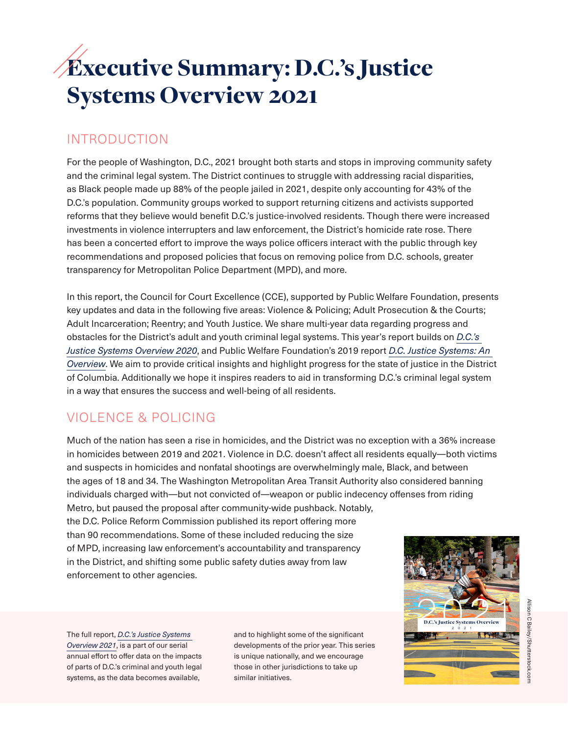# Executive Summary: D.C.'s Justice Systems Overview 2021

## INTRODUCTION

For the people of Washington, D.C., 2021 brought both starts and stops in improving community safety and the criminal legal system. The District continues to struggle with addressing racial disparities, as Black people made up 88% of the people jailed in 2021, despite only accounting for 43% of the D.C.'s population. Community groups worked to support returning citizens and activists supported reforms that they believe would benefit D.C.'s justice-involved residents. Though there were increased investments in violence interrupters and law enforcement, the District's homicide rate rose. There has been a concerted effort to improve the ways police officers interact with the public through key recommendations and proposed policies that focus on removing police from D.C. schools, greater transparency for Metropolitan Police Department (MPD), and more.

In this report, the Council for Court Excellence (CCE), supported by Public Welfare Foundation, presents key updates and data in the following five areas: Violence & Policing; Adult Prosecution & the Courts; Adult Incarceration; Reentry; and Youth Justice. We share multi-year data regarding progress and obstacles for the District's adult and youth criminal legal systems. This year's report builds on *[D.C.'s](http://www.courtexcellence.org/uploads/publications/DCs_Justice_Systems_Overview_2020.pdf)  [Justice Systems Overview 2020](http://www.courtexcellence.org/uploads/publications/DCs_Justice_Systems_Overview_2020.pdf)*, and Public Welfare Foundation's 2019 report *[D.C. Justice Systems: An](https://www.publicwelfare.org/wp-content/uploads/2019/10/PWF_DCs-Justice-Systems-Overview.pdf)  [Overview](https://www.publicwelfare.org/wp-content/uploads/2019/10/PWF_DCs-Justice-Systems-Overview.pdf)*. We aim to provide critical insights and highlight progress for the state of justice in the District of Columbia. Additionally we hope it inspires readers to aid in transforming D.C.'s criminal legal system in a way that ensures the success and well-being of all residents.

# VIOLENCE & POLICING

Much of the nation has seen a rise in homicides, and the District was no exception with a 36% increase in homicides between 2019 and 2021. Violence in D.C. doesn't affect all residents equally—both victims and suspects in homicides and nonfatal shootings are overwhelmingly male, Black, and between the ages of 18 and 34. The Washington Metropolitan Area Transit Authority also considered banning individuals charged with—but not convicted of—weapon or public indecency offenses from riding Metro, but paused the proposal after community-wide pushback. Notably,

the D.C. Police Reform Commission published its report offering more than 90 recommendations. Some of these included reducing the size of MPD, increasing law enforcement's accountability and transparency in the District, and shifting some public safety duties away from law enforcement to other agencies.

The full report, *[D.C.'s Justice Systems](http://www.courtexcellence.org/news-events/new-report-landscape-review-2021)  [Overview 2021](http://www.courtexcellence.org/news-events/new-report-landscape-review-2021)*, is a part of our serial annual effort to offer data on the impacts of parts of D.C.'s criminal and youth legal systems, as the data becomes available,

and to highlight some of the significant developments of the prior year. This series is unique nationally, and we encourage those in other jurisdictions to take up similar initiatives.